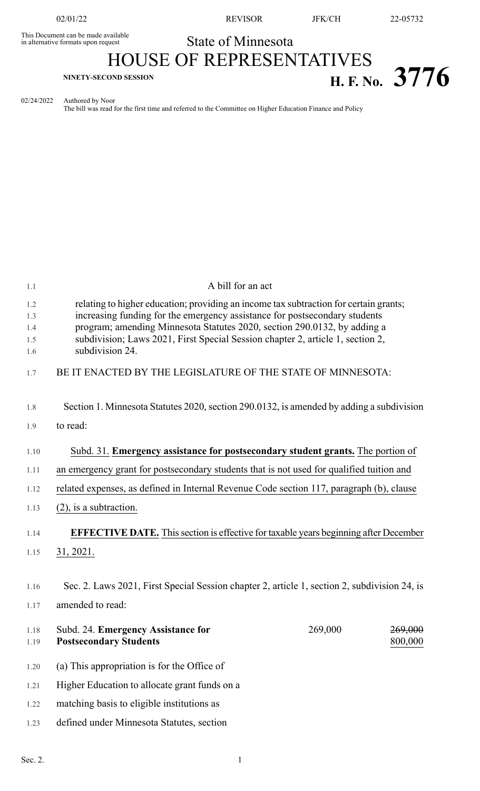This Document can be made available<br>in alternative formats upon request

02/01/22 REVISOR JFK/CH 22-05732

## State of Minnesota

## HOUSE OF REPRESENTATIVES **H. F. No. 3776**

02/24/2022 Authored by Noor

The bill was read for the first time and referred to the Committee on Higher Education Finance and Policy

| 1.1               | A bill for an act                                                                                                                                                                                                                               |         |                               |
|-------------------|-------------------------------------------------------------------------------------------------------------------------------------------------------------------------------------------------------------------------------------------------|---------|-------------------------------|
| 1.2<br>1.3<br>1.4 | relating to higher education; providing an income tax subtraction for certain grants;<br>increasing funding for the emergency assistance for postsecondary students<br>program; amending Minnesota Statutes 2020, section 290.0132, by adding a |         |                               |
| 1.5<br>1.6        | subdivision; Laws 2021, First Special Session chapter 2, article 1, section 2,<br>subdivision 24.                                                                                                                                               |         |                               |
| 1.7               | BE IT ENACTED BY THE LEGISLATURE OF THE STATE OF MINNESOTA:                                                                                                                                                                                     |         |                               |
| 1.8               | Section 1. Minnesota Statutes 2020, section 290.0132, is amended by adding a subdivision                                                                                                                                                        |         |                               |
| 1.9               | to read:                                                                                                                                                                                                                                        |         |                               |
| 1.10              | Subd. 31. Emergency assistance for postsecondary student grants. The portion of                                                                                                                                                                 |         |                               |
| 1.11              | an emergency grant for postsecondary students that is not used for qualified tuition and                                                                                                                                                        |         |                               |
| 1.12              | related expenses, as defined in Internal Revenue Code section 117, paragraph (b), clause                                                                                                                                                        |         |                               |
| 1.13              | $(2)$ , is a subtraction.                                                                                                                                                                                                                       |         |                               |
| 1.14              | <b>EFFECTIVE DATE.</b> This section is effective for taxable years beginning after December                                                                                                                                                     |         |                               |
| 1.15              | 31, 2021.                                                                                                                                                                                                                                       |         |                               |
| 1.16              |                                                                                                                                                                                                                                                 |         |                               |
|                   | Sec. 2. Laws 2021, First Special Session chapter 2, article 1, section 2, subdivision 24, is                                                                                                                                                    |         |                               |
| 1.17              | amended to read:                                                                                                                                                                                                                                |         |                               |
| 1.18<br>1.19      | Subd. 24. Emergency Assistance for<br><b>Postsecondary Students</b>                                                                                                                                                                             | 269,000 | <del>269,000</del><br>800,000 |
| 1.20              | (a) This appropriation is for the Office of                                                                                                                                                                                                     |         |                               |
| 1.21              | Higher Education to allocate grant funds on a                                                                                                                                                                                                   |         |                               |
| 1.22              | matching basis to eligible institutions as                                                                                                                                                                                                      |         |                               |
| 1.23              | defined under Minnesota Statutes, section                                                                                                                                                                                                       |         |                               |